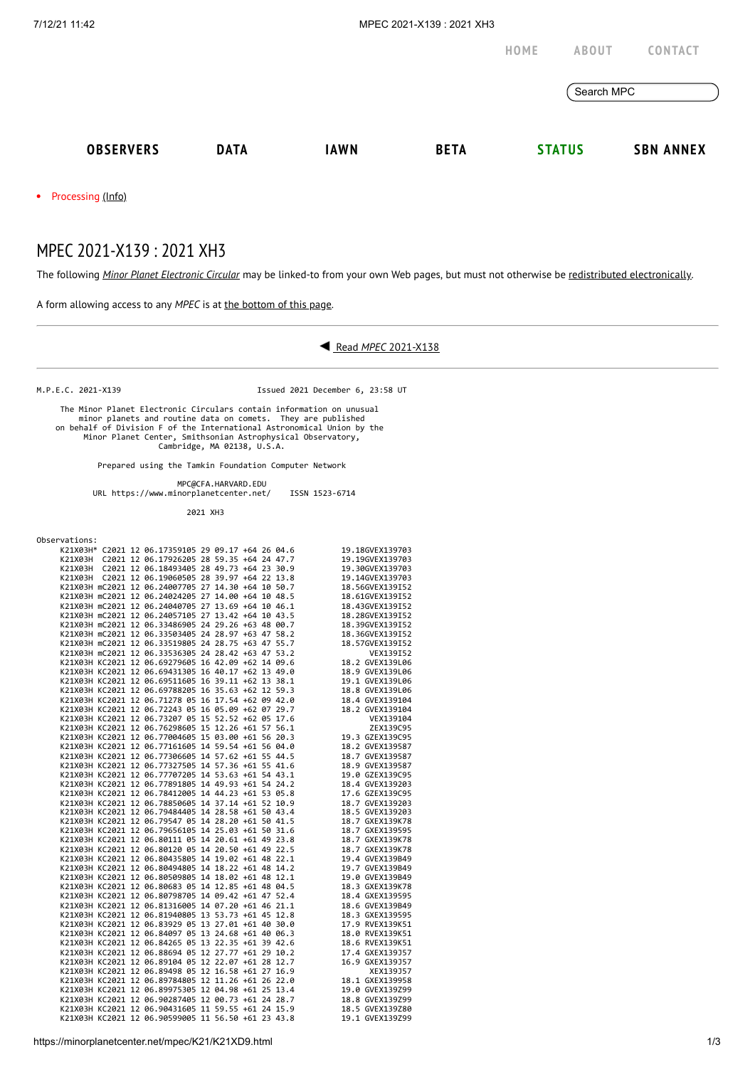|                  |             |             |             | HOME | <b>ABOUT</b>  | CONTACT          |
|------------------|-------------|-------------|-------------|------|---------------|------------------|
|                  |             |             |             |      | Search MPC    |                  |
| <b>OBSERVERS</b> | <b>DATA</b> | <b>IAWN</b> | <b>BETA</b> |      | <b>STATUS</b> | <b>SBN ANNEX</b> |

 $\bullet$ Processing [\(Info\)](https://minorplanetcenter.net/iau/info/MPCOpStatus.html)

## MPEC 2021-X139 : 2021 XH3

The following *Minor Planet [Electronic](https://minorplanetcenter.net/iau/services/MPEC.html) Circular* may be linked-to from your own Web pages, but must not otherwise be redistributed [electronically](https://minorplanetcenter.net/iau/WWWPolicy.html).

A form allowing access to any *MPEC* is at the [bottom](https://minorplanetcenter.net/mpec/K19/K21XD9.html#form) of this page.

## Read *MPEC* [2021-X138](https://minorplanetcenter.net/mpec/K21/K21XD8.html)

M.P.E.C. 2021-X139 Issued 2021 December 6, 23:58 UT

 The Minor Planet Electronic Circulars contain information on unusual minor planets and routine data on comets. They are published<br>on behalf of Division F of the International Astronomical Union by the<br>Minor Planet Center, Smithsonian Astrophysical Observatory,<br>Cambridge, MA 02138, U.S.A.

Prepared using the Tamkin Foundation Computer Network

 MPC@CFA.HARVARD.EDU URL https://www.minorplanetcenter.net/ ISSN 1523-6714

2021 XH3

Observations:

|  |  | K21X03H* C2021 12 06.17359105 29 09.17 +64 26 04.6                                                       |  |  | 19.18GVEX139703 |
|--|--|----------------------------------------------------------------------------------------------------------|--|--|-----------------|
|  |  |                                                                                                          |  |  | 19.19GVEX139703 |
|  |  | K21X03H C2021 12 06.17926205 28 59.35 +64 24 47.7<br>K21X03H C2021 12 06.18493405 28 49.73 +64 23 30.9   |  |  | 19.30GVEX139703 |
|  |  |                                                                                                          |  |  | 19.14GVEX139703 |
|  |  |                                                                                                          |  |  | 18.56GVEX139I52 |
|  |  | K21X03H mC2021 12 06.24024205 27 14.00 +64 10 48.5                                                       |  |  | 18.61GVEX139I52 |
|  |  |                                                                                                          |  |  |                 |
|  |  | K21X03H mC2021 12 06.24040705 27 13.69 +64 10 46.1                                                       |  |  | 18.43GVEX139I52 |
|  |  | K21X03H mC2021 12 06.24057105 27 13.42 +64 10 43.5                                                       |  |  | 18.28GVEX139I52 |
|  |  | K21X03H mC2021 12 06.33486905 24 29.26 +63 48 00.7                                                       |  |  | 18.39GVEX139I52 |
|  |  | K21X03H mC2021 12 06.33503405 24 28.97 +63 47 58.2                                                       |  |  | 18.36GVEX139I52 |
|  |  | K21X03H mC2021 12 06.33519805 24 28.75 +63 47 55.7                                                       |  |  | 18.57GVEX139I52 |
|  |  | K21X03H mC2021 12 06.33536305 24 28.42 +63 47 53.2                                                       |  |  | VEX139I52       |
|  |  | K21X03H KC2021 12 06.69279605 16 42.09 +62 14 09.6                                                       |  |  | 18.2 GVEX139L06 |
|  |  | K21X03H KC2021 12 06.69431305 16 40.17 +62 13 49.0                                                       |  |  | 18.9 GVEX139L06 |
|  |  | K21X03H KC2021 12 06.69511605 16 39.11 +62 13 38.1                                                       |  |  | 19.1 GVEX139L06 |
|  |  | K21X03H KC2021 12 06.69788205 16 35.63 +62 12 59.3                                                       |  |  | 18.8 GVEX139L06 |
|  |  | K21X03H KC2021 12 06.71278 05 16 17.54 +62 09 42.0                                                       |  |  | 18.4 GVEX139104 |
|  |  | K21X03H KC2021 12 06.72243 05 16 05.09 +62 07 29.7                                                       |  |  | 18.2 GVEX139104 |
|  |  | K21X03H KC2021 12 06.73207 05 15 52.52 +62 05 17.6                                                       |  |  | VEX139104       |
|  |  | K21X03H KC2021 12 06.76298605 15 12.26 +61 57 56.1                                                       |  |  |                 |
|  |  | K21X03H KC2021 12 06.77004605 15 03.00 +61 56 20.3                                                       |  |  |                 |
|  |  | K21X03H KC2021 12 06.77161605 14 59.54 +61 56 04.0                                                       |  |  | 18.2 GVEX139587 |
|  |  |                                                                                                          |  |  |                 |
|  |  | K21X03H KC2021 12 06.77306605 14 57.62 +61 55 44.5                                                       |  |  | 18.7 GVEX139587 |
|  |  | K21X03H KC2021 12 06.77327505 14 57.36 +61 55 41.6                                                       |  |  | 18.9 GVEX139587 |
|  |  | K21X03H KC2021 12 06.77707205 14 53.63 +61 54 43.1                                                       |  |  | 19.0 GZEX139C95 |
|  |  | K21X03H KC2021 12 06.77891805 14 49.93 +61 54 24.2                                                       |  |  | 18.4 GVEX139203 |
|  |  | K21X03H KC2021 12 06.78412005 14 44.23 +61 53 05.8                                                       |  |  | 17.6 GZEX139C95 |
|  |  | K21X03H KC2021 12 06.78850605 14 37.14 +61 52 10.9                                                       |  |  | 18.7 GVEX139203 |
|  |  | K21X03H KC2021 12 06.79484405 14 28.58 +61 50 43.4                                                       |  |  | 18.5 GVEX139203 |
|  |  | K21X03H KC2021 12 06.79547 05 14 28.20 +61 50 41.5                                                       |  |  | 18.7 GXEX139K78 |
|  |  | K21X03H KC2021 12 06.79656105 14 25.03 +61 50 31.6                                                       |  |  | 18.7 GXEX139595 |
|  |  | K21X03H KC2021 12 06.80111 05 14 20.61 +61 49 23.8                                                       |  |  | 18.7 GXEX139K78 |
|  |  | K21X03H KC2021 12 06.80120 05 14 20.50 +61 49 22.5                                                       |  |  | 18.7 GXEX139K78 |
|  |  | K21X03H KC2021 12 06.80435805 14 19.02 +61 48 22.1                                                       |  |  | 19.4 GVEX139B49 |
|  |  | K21X03H KC2021 12 06.80494805 14 18.22 +61 48 14.2                                                       |  |  | 19.7 GVEX139B49 |
|  |  | K21X03H KC2021 12 06.80509805 14 18.02 +61 48 12.1                                                       |  |  | 19.0 GVEX139B49 |
|  |  | K21X03H KC2021 12 06.80683 05 14 12.85 +61 48 04.5                                                       |  |  | 18.3 GXEX139K78 |
|  |  | K21X03H KC2021 12 06.80798705 14 09.42 +61 47 52.4                                                       |  |  | 18.4 GXEX139595 |
|  |  | K21X03H KC2021 12 06.81316005 14 07.20 +61 46 21.1                                                       |  |  | 18.6 GVEX139B49 |
|  |  | K21X03H KC2021 12 06.81940805 13 53.73 +61 45 12.8                                                       |  |  | 18.3 GXEX139595 |
|  |  | K21X03H KC2021 12 06.83929 05 13 27.01 +61 40 30.0                                                       |  |  | 17.9 RVEX139K51 |
|  |  | K21X03H KC2021 12 06.84097 05 13 24.68 +61 40 06.3                                                       |  |  | 18.0 RVEX139K51 |
|  |  | K21X03H KC2021 12 06.84265 05 13 22.35 +61 39 42.6                                                       |  |  |                 |
|  |  |                                                                                                          |  |  | 18.6 RVEX139K51 |
|  |  | K21X03H KC2021 12 06.88694 05 12 27.77 +61 29 10.2                                                       |  |  | 17.4 GXEX139J57 |
|  |  | K21X03H KC2021 12 06.89104 05 12 22.07 +61 28 12.7                                                       |  |  | 16.9 GXEX139J57 |
|  |  | K21X03H KC2021 12 06.89498 05 12 16.58 +61 27 16.9                                                       |  |  | XEX139J57       |
|  |  | K21X03H KC2021 12 06.89784805 12 11.26 +61 26 22.0                                                       |  |  | 18.1 GXEX139958 |
|  |  | K21X03H KC2021 12 06.89975305 12 04.98 +61 25 13.4                                                       |  |  | 19.0 GVEX139Z99 |
|  |  |                                                                                                          |  |  | 18.8 GVEX139Z99 |
|  |  | K21X03H KC2021 12 06.90431605 11 59.55 +61 24 15.9<br>K21X03H KC2021 12 06.90599005 11 56.50 +61 23 43.8 |  |  | 18.5 GVEX139Z80 |
|  |  |                                                                                                          |  |  | 19.1 GVEX139Z99 |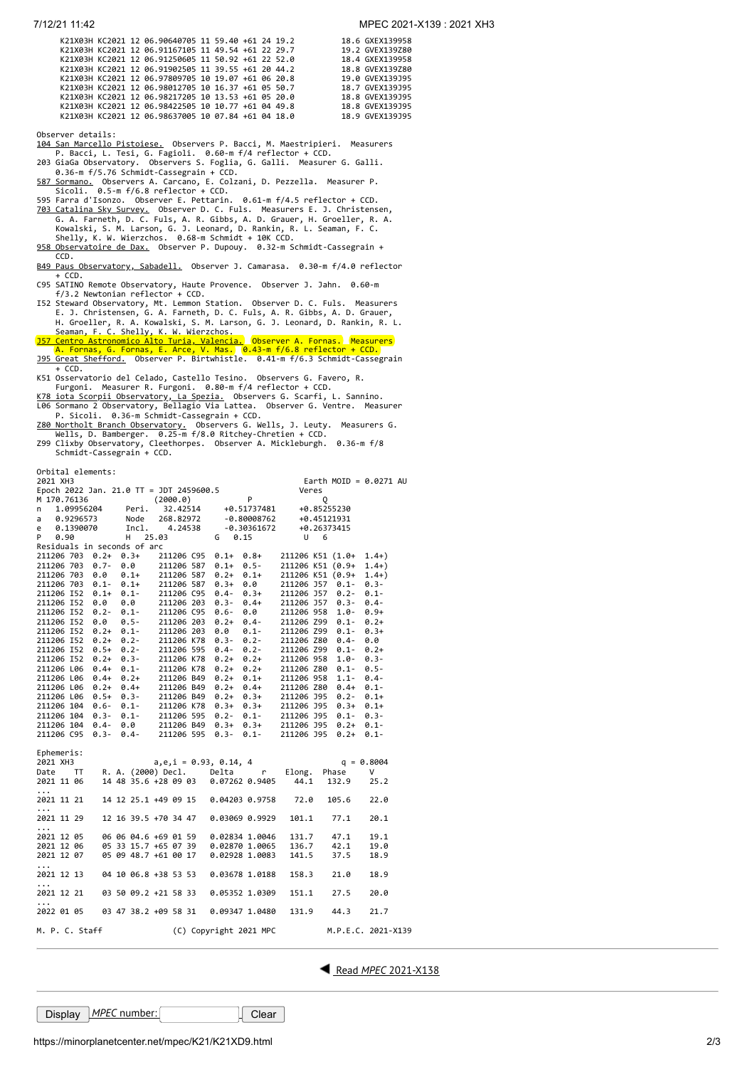|  |  | K21X03H KC2021 12 06.90640705 11 59.40 +61 24 19.2 |  |  | 18.6 GXEX139958 |
|--|--|----------------------------------------------------|--|--|-----------------|
|  |  | K21X03H KC2021 12 06.91167105 11 49.54 +61 22 29.7 |  |  | 19.2 GVEX139Z80 |
|  |  | K21X03H KC2021 12 06.91250605 11 50.92 +61 22 52.0 |  |  | 18.4 GXEX139958 |
|  |  | K21X03H KC2021 12 06.91902505 11 39.55 +61 20 44.2 |  |  | 18.8 GVEX139Z80 |
|  |  | K21X03H KC2021 12 06.97809705 10 19.07 +61 06 20.8 |  |  | 19.0 GVEX139J95 |
|  |  | K21X03H KC2021 12 06.98012705 10 16.37 +61 05 50.7 |  |  | 18.7 GVEX139J95 |
|  |  | K21X03H KC2021 12 06.98217205 10 13.53 +61 05 20.0 |  |  | 18.8 GVEX139J95 |
|  |  | K21X03H KC2021 12 06.98422505 10 10.77 +61 04 49.8 |  |  | 18.8 GVEX139J95 |
|  |  | K21X03H KC2021 12 06.98637005 10 07.84 +61 04 18.0 |  |  | 18.9 GVEX139J95 |
|  |  |                                                    |  |  |                 |

Observer details:

- 
- <u>104 San Marcello Pistoiese.</u> Observers P. Bacci, M. Maestripieri. Measurers<br>P. Bacci, L. Tesi, G. Fagioli. 0.60-m f/4 reflector + CCD.<br>203 GiaGa Observatory. Observers S. Foglia, G. Galli. Measurer G. Galli.<br>0.36-m f/5.76
- 
- [587 Sormano.](http://www.brera.mi.astro.it/sormano/) Observers A. Carcano, E. Colzani, D. Pezzella. Measurer P.<br>Sicoli. 0.5-m f/6.8 reflector + CCD.<br>595 Farra d'Isonzo. Observer E. Pettarin. 0.61-m f/4.5 reflector + CCD.<br>[703 Catalina Sky Survey.](http://www.lpl.arizona.edu/css/) Observer D. C. F
- 
- $\underline{B49}$  Paus Observatory, Sabadell. Observer J. Camarasa. 0.30-m f/4.0 reflector<br>+ CCD
- 
- + CCD.<br>
C95 SATINO Remote Observatory, Haute Provence. Observer J. Jahn. 0.60-m<br>
f/3.2 Newtonian reflector + CCD.<br>
IS2 Steward Observatory, Mt. Lemmon Station. Observer D. C. Fuls. Measurers<br>
E. J. Christensen, G. A. Farne
- 
- 
- 
- + CCD.<br>K51 Osservatorio del Celado, Castello Tesino. Observers G. Favero, R.<br>Furgoni. Measurer R. Furgoni. 0.80-m f/4 reflector + CCD.<br><u>K78 iota Scorpii Observatory, La Spezia.</u> Observers G. Scarfi, L. Sannino.<br>L06 Sormano
- 
- <u>780 Northolt Branch Observatory.</u> Observers G. Wells, J. Leuty. Measurers G.<br>Wells, D. Bamberger. 0.25-m f/8.0 Ritchey-Chretien + CCD.<br>299 Clixby Observatory, Cleethorpes. Observer A. Mickleburgh. 0.36-m f/8<br>Schmidt-Casse

Orbital elements:

| 2021 XH3                                         |                                                       | Earth MOID = $0.0271$ AU         |  |  |  |  |  |
|--------------------------------------------------|-------------------------------------------------------|----------------------------------|--|--|--|--|--|
| Epoch 2022 Jan. 21.0 TT = JDT 2459600.5<br>Veres |                                                       |                                  |  |  |  |  |  |
| M 170.76136                                      | (2000.0)<br>P                                         | Q                                |  |  |  |  |  |
| 1.09956204<br>n<br>Peri.                         | 32.42514<br>+0.51737481                               | +0.85255230                      |  |  |  |  |  |
| 0.9296573<br>Node<br>a                           | 268.82972<br>$-0.80008762$                            | +0.45121931                      |  |  |  |  |  |
| 0.1390070<br>Incl.<br>e                          | 4.24538<br>$-0.30361672$                              | +0.26373415                      |  |  |  |  |  |
| 0.90<br>25.03<br>P<br>н                          | G<br>0.15                                             | U<br>- 6                         |  |  |  |  |  |
| Residuals in seconds of arc                      |                                                       |                                  |  |  |  |  |  |
| 211206 703<br>$0.2 + 0.3 +$                      | 211206 C95<br>$0.1+ 0.8+$                             | 211206 K51 (1.0+<br>$1.4+$       |  |  |  |  |  |
| 211206 703<br>$0.7 -$<br>0.0                     | $0.5 -$<br>211206 587<br>$0.1 +$                      | 211206 K51 (0.9+<br>$1.4+$       |  |  |  |  |  |
| 211206 703<br>0.0<br>$0.1+$                      | 211206 587<br>$0.2 +$<br>$0.1+$                       | 211206 K51 (0.9+<br>$1.4+$       |  |  |  |  |  |
| 211206 703<br>$0.1 -$<br>$0.1 +$                 | 211206 587<br>$0.3+$<br>0.0                           | 211206 J57<br>$0.1 -$<br>$0.3 -$ |  |  |  |  |  |
| 211206 I52<br>$0.1+ 0.1-$                        | 211206 po <i>r</i><br>211206 C95<br>$0.4 -$<br>$0.3+$ | 211206 J57<br>0.2-<br>$0.1 -$    |  |  |  |  |  |
| 211206 I52<br>0.0<br>0.0                         | $0.4 +$<br>0.3-                                       | 211206 J57<br>$0.3 -$<br>$0.4 -$ |  |  |  |  |  |
| 211206 I52<br>$0.2 -$<br>$0.1 -$                 | 211200 -<br>211206 C95<br>200 200 -<br>$0.6 -$<br>0.0 | 211206 958<br>$1.0 -$<br>$0.9+$  |  |  |  |  |  |
| 211206 I52<br>0.0<br>$0.5 -$                     | $0.2 +$<br>$0.4 -$                                    | 211206 Z99<br>$0.1 -$<br>$0.2 +$ |  |  |  |  |  |
| 211206 I52<br>$0.2 + 0.1 -$                      | 211206 203<br>211206 203<br>0.0<br>$0.1 -$            | 211206 Z99<br>$0.3+$<br>$0.1 -$  |  |  |  |  |  |
| 211206 I52<br>$0.2 + 0.2 -$                      | 211206 K78<br>$0.2 -$<br>$0.3 -$                      | 211206 Z80<br>$0.4 -$<br>0.0     |  |  |  |  |  |
| 211206 I52<br>$0.5+ 0.2-$                        | $0.4 -$<br>$0.2 -$                                    | 211206 Z99<br>$0.1 -$<br>$0.2 +$ |  |  |  |  |  |
|                                                  | 211206 595                                            |                                  |  |  |  |  |  |
| 211206 I52<br>$0.2 +$<br>$0.3 -$                 | 211206 K78<br>$0.2 +$<br>$0.2 +$                      | 211206 958<br>$0.3 -$<br>$1.0 -$ |  |  |  |  |  |
| 211206 L06<br>$0.4 + 0.1 -$                      | 211206 K78<br>$0.2 + 0.2 +$                           | 211206 Z80<br>$0.5 -$<br>$0.1 -$ |  |  |  |  |  |
| 211206 L06<br>$0.4 + 0.2 +$                      | 211206 B49<br>$0.2 +$<br>$0.1+$                       | 211206 958<br>$1.1 -$<br>$0.4 -$ |  |  |  |  |  |
| 211206 L06<br>$0.2 + 0.4 +$                      | 211206 B49<br>$0.2 +$<br>$0.4 +$                      | 211206 Z80<br>$0.4 +$<br>$0.1 -$ |  |  |  |  |  |
| 211206 L06<br>$0.5+ 0.3-$                        | 211206 B49<br>$0.2 +$<br>$0.3+$                       | 211206 J95<br>$0.1+$<br>$0.2 -$  |  |  |  |  |  |
| 211206 104<br>$0.6 -$<br>$0.1 -$                 | 211206 K78<br>$0.3+0.3+$                              | 211206 J95<br>$0.3+$<br>$0.1+$   |  |  |  |  |  |
| 211206 104<br>$0.3 - 0.1 -$                      | 211206 595<br>211206 B49<br>$0.2 -$<br>$0.1 -$        | 211206 J95<br>$0.3 -$<br>$0.1 -$ |  |  |  |  |  |
| 211206 104<br>$0.4 -$<br>0.0                     | 211206 B49<br>$0.3+0.3+$                              | 211206 J95<br>$0.2 +$<br>$0.1 -$ |  |  |  |  |  |
| 211206 C95<br>$0.3 -$<br>$0.4 -$                 | 211206 595<br>$0.3 -$<br>$0.1 -$                      | 211206 J95<br>$0.2 +$<br>$0.1 -$ |  |  |  |  |  |
|                                                  |                                                       |                                  |  |  |  |  |  |
| Ephemeris:                                       |                                                       |                                  |  |  |  |  |  |
| 2021 XH3                                         | $a, e, i = 0.93, 0.14, 4$                             | $q = 0.8004$                     |  |  |  |  |  |
| R. A. (2000) Decl.<br>Date<br>TT .               | Delta                                                 | Elong.<br>V<br>r<br>Phase        |  |  |  |  |  |
| 2021 11 06                                       | 14 48 35.6 +28 09 03 0.07262 0.9405                   | 44.1<br>132.9<br>25.2            |  |  |  |  |  |
| .                                                |                                                       |                                  |  |  |  |  |  |
| 2021 11 21                                       | 14 12 25.1 +49 09 15 0.04203 0.9758                   | 72.0<br>105.6<br>22.0            |  |  |  |  |  |
| .                                                |                                                       |                                  |  |  |  |  |  |
| 12 16 39.5 +70 34 47<br>2021 11 29               | 0.03069 0.9929                                        | 101.1<br>77.1<br>20.1            |  |  |  |  |  |
|                                                  |                                                       |                                  |  |  |  |  |  |
| .<br>2021 12 05                                  | 06 06 04.6 +69 01 59 0.02834 1.0046                   | 131.7<br>47.1<br>19.1            |  |  |  |  |  |
| 05 33 15.7 +65 07 39<br>2021 12 06               | 0.02870 1.0065                                        | 136.7<br>42.1<br>19.0            |  |  |  |  |  |
|                                                  |                                                       |                                  |  |  |  |  |  |
| 05 09 48.7 +61 00 17<br>2021 12 07               | 0.02928 1.0083                                        | 141.5<br>37.5<br>18.9            |  |  |  |  |  |
| .                                                |                                                       |                                  |  |  |  |  |  |
| 2021 12 13<br>04 10 06.8 +38 53 53               | 0.03678 1.0188                                        | 158.3<br>18.9<br>21.0            |  |  |  |  |  |
| .                                                |                                                       |                                  |  |  |  |  |  |
| 03 50 09.2 +21 58 33<br>2021 12 21               | 0.05352 1.0309                                        | 151.1<br>27.5<br>20.0            |  |  |  |  |  |
| $\cdots$                                         |                                                       |                                  |  |  |  |  |  |
| 2022 01 05                                       | 03 47 38.2 +09 58 31 0.09347 1.0480                   | 131.9<br>44.3<br>21.7            |  |  |  |  |  |
|                                                  |                                                       |                                  |  |  |  |  |  |
| M. P. C. Staff                                   | (C) Copyright 2021 MPC                                | M.P.E.C. 2021-X139               |  |  |  |  |  |
|                                                  |                                                       |                                  |  |  |  |  |  |

Read *MPEC* [2021-X138](https://minorplanetcenter.net/mpec/K21/K21XD8.html)

Display *MPEC* number: Clear